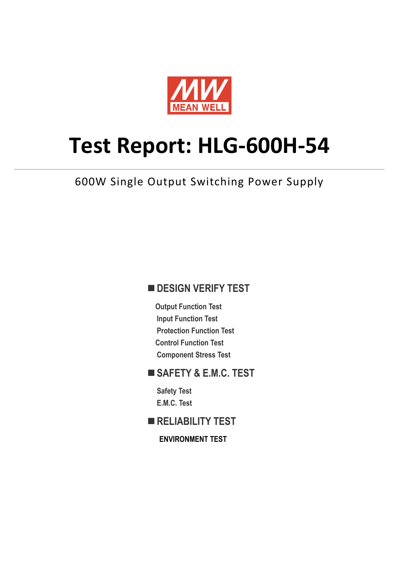

# **Test Report: HLG-600H-54**

600W Single Output Switching Power Supply

#### **DESIGN VERIFY TEST**

**Output Function Test Input Function Test Protection Function Test Control Function Test Component Stress Test** 

#### **SAFETY & E.M.C. TEST**

**Safety Test E.M.C. Test** 

**RELIABILITY TEST** 

**ENVIRONMENT TEST**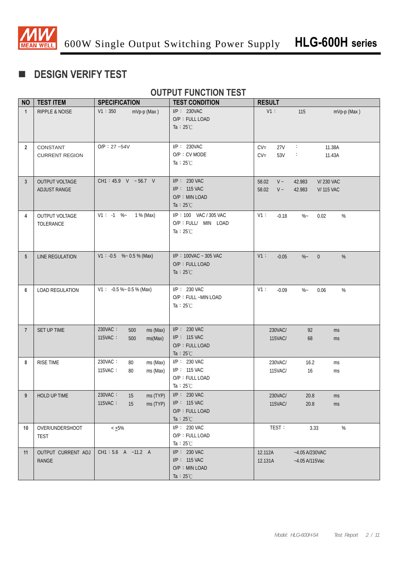

# **DESIGN VERIFY TEST**

### **OUTPUT FUNCTION TEST**

| <b>NO</b>       | <b>TEST ITEM</b>                             | <b>SPECIFICATION</b>                                    | <b>TEST CONDITION</b>                                                       | <b>RESULT</b>                       |                                                          |
|-----------------|----------------------------------------------|---------------------------------------------------------|-----------------------------------------------------------------------------|-------------------------------------|----------------------------------------------------------|
| $\mathbf{1}$    | <b>RIPPLE &amp; NOISE</b>                    | V1:350<br>mVp-p (Max)                                   | $I/P$ : 230VAC<br>O/P: FULL LOAD<br>Ta : $25^{\circ}$ C                     | V1:                                 | 115<br>mVp-p (Max)                                       |
| $\overline{2}$  | CONSTANT<br><b>CURRENT REGION</b>            | $O/P: 27 - 54V$                                         | $I/P$ : 230VAC<br>O/P: CV MODE<br>Ta : $25^{\circ}$ C                       | $CV =$<br>27V<br>$CV =$<br>53V      | $\sim$<br>11.38A<br>÷<br>11.43A                          |
| $\mathbf{3}$    | <b>OUTPUT VOLTAGE</b><br><b>ADJUST RANGE</b> | CH1: 45.9 V ~ 56.7 V                                    | $I/P$ : 230 VAC<br>I/P: 115 VAC<br>O/P: MIN LOAD<br>Ta : $25^{\circ}$ C     | 58.02<br>$V -$<br>$V \sim$<br>58.02 | 42.983<br><b>V/230 VAC</b><br>42.983<br><b>V/115 VAC</b> |
| 4               | <b>OUTPUT VOLTAGE</b><br>TOLERANCE           | $V1: -1$ %-<br>1 % (Max)                                | I/P: 100 VAC / 305 VAC<br>O/P : FULL/ MIN LOAD<br>Ta : $25^{\circ}$ C       | V1:<br>$-0.18$                      | $\%$ ~<br>%<br>0.02                                      |
| $5\phantom{.0}$ | LINE REGULATION                              | $V1: -0.5$ % ~ 0.5 % (Max)                              | $I/P$ : 100VAC ~ 305 VAC<br>O/P: FULL LOAD<br>Ta : $25^{\circ}$ C           | V1:<br>$-0.05$                      | $\%$ –<br>$\overline{0}$<br>%                            |
| 6               | <b>LOAD REGULATION</b>                       | $V1: -0.5 % ~ 0.5 %$ (Max)                              | I/P: 230 VAC<br>O/P: FULL ~MIN LOAD<br>Ta : $25^{\circ}$ C                  | V1:<br>$-0.09$                      | $\%$<br>$\%$ ~<br>0.06                                   |
| $\overline{7}$  | SET UP TIME                                  | 230VAC:<br>500<br>ms (Max)<br>115VAC:<br>ms(Max)<br>500 | $I/P$ : 230 VAC<br>$I/P$ : 115 VAC<br>O/P: FULL LOAD<br>Ta : $25^{\circ}$ C | 230VAC/<br>115VAC/                  | 92<br>ms<br>68<br>ms                                     |
| 8               | <b>RISE TIME</b>                             | 230VAC:<br>ms (Max)<br>80<br>115VAC:<br>ms (Max)<br>80  | $I/P$ : 230 VAC<br>I/P: 115 VAC<br>O/P: FULL LOAD<br>Ta : $25^{\circ}$ C    | 230VAC/<br>115VAC/                  | 16.2<br>ms<br>16<br>ms                                   |
| 9               | HOLD UP TIME                                 | 230VAC:<br>ms (TYP)<br>15<br>115VAC:<br>15<br>ms (TYP)  | $I/P: 230$ VAC<br>I/P: 115 VAC<br>O/P: FULL LOAD<br>Ta : $25^{\circ}$ C     | 230VAC/<br>115VAC/                  | 20.8<br>ms<br>20.8<br>ms                                 |
| 10              | OVER/UNDERSHOOT<br><b>TEST</b>               | $< +5\%$                                                | I/P: 230 VAC<br>O/P: FULL LOAD<br>Ta : $25^{\circ}$ C                       | TEST:                               | $\%$<br>3.33                                             |
| 11              | OUTPUT CURRENT ADJ<br><b>RANGE</b>           | CH1: 5.6 A ~11.2 A                                      | $I/P$ : 230 VAC<br>$I/P: 115$ VAC<br>O/P: MIN LOAD<br>Ta : $25^{\circ}$ C   | 12.112A<br>12.131A                  | $-4.05$ A/230VAC<br>$-4.05$ A/115Vac                     |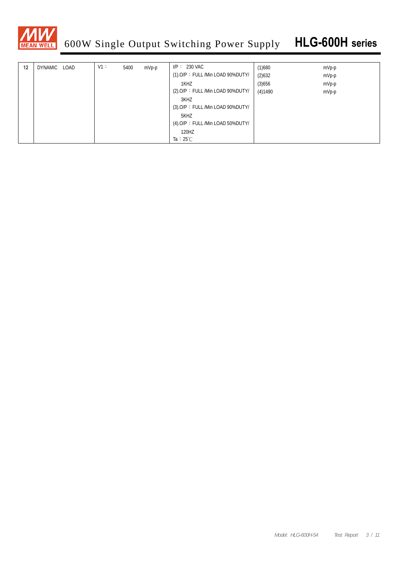

| 12 | DYNAMIC LOAD | V1: | 5400 | $mVp-p$ | $IP: 230$ VAC                       | (1)680  | $mVp-p$ |
|----|--------------|-----|------|---------|-------------------------------------|---------|---------|
|    |              |     |      |         | (1).O/P: FULL /Min LOAD 90%DUTY/    | (2)632  | mVp-p   |
|    |              |     |      |         | 1KHZ                                | (3)656  | $mVp-p$ |
|    |              |     |      |         | (2).O/P: FULL /Min LOAD 90%DUTY/    | (4)1490 | mVp-p   |
|    |              |     |      |         | 3KHZ                                |         |         |
|    |              |     |      |         | $(3)$ .O/P: FULL /Min LOAD 90%DUTY/ |         |         |
|    |              |     |      |         | 5KHZ                                |         |         |
|    |              |     |      |         | $(4)$ .O/P: FULL /Min LOAD 50%DUTY/ |         |         |
|    |              |     |      |         | 120HZ                               |         |         |
|    |              |     |      |         | Ta : $25^{\circ}$ C                 |         |         |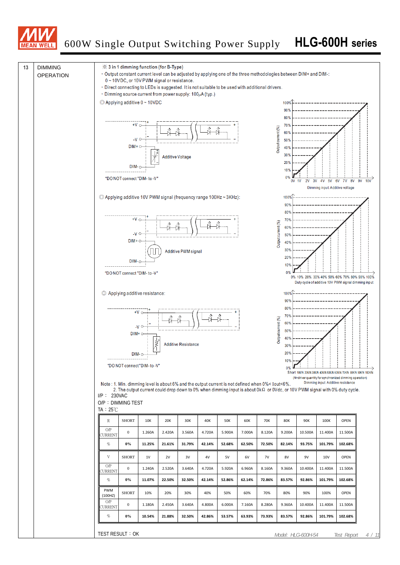

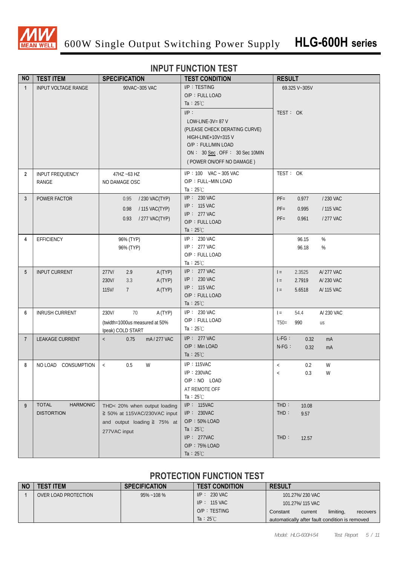

#### **INPUT FUNCTION TEST**

| <b>NO</b>      | <b>TEST ITEM</b>                | <b>SPECIFICATION</b>                               | <b>TEST CONDITION</b>         | <b>RESULT</b>                |
|----------------|---------------------------------|----------------------------------------------------|-------------------------------|------------------------------|
| $\mathbf{1}$   | <b>INPUT VOLTAGE RANGE</b>      | 90VAC~305 VAC                                      | I/P: TESTING                  | 69.325 V~305V                |
|                |                                 |                                                    | O/P: FULL LOAD                |                              |
|                |                                 |                                                    | Ta : $25^{\circ}$ C           |                              |
|                |                                 |                                                    | $I/P$ :                       | TEST: OK                     |
|                |                                 |                                                    | LOW-LINE-3V= $87$ V           |                              |
|                |                                 |                                                    | (PLEASE CHECK DERATING CURVE) |                              |
|                |                                 |                                                    | HIGH-LINE+10V=315 V           |                              |
|                |                                 |                                                    | O/P: FULL/MIN LOAD            |                              |
|                |                                 |                                                    | ON: 30 Sec. OFF: 30 Sec 10MIN |                              |
|                |                                 |                                                    | (POWER ON/OFF NO DAMAGE)      |                              |
| $\overline{2}$ | INPUT FREQUENCY                 | 47HZ ~63 HZ                                        | I/P: 100 VAC ~ 305 VAC        | TEST: OK                     |
|                | RANGE                           | NO DAMAGE OSC                                      | O/P: FULL~MIN LOAD            |                              |
|                |                                 |                                                    | Ta : $25^{\circ}$ C           |                              |
| $\mathbf{3}$   | POWER FACTOR                    | / 230 VAC(TYP)<br>0.95                             | I/P: 230 VAC                  | $PF =$<br>0.977<br>/ 230 VAC |
|                |                                 |                                                    | I/P: 115 VAC                  |                              |
|                |                                 | 0.98<br>/ 115 VAC(TYP)                             | $I/P$ : 277 VAC               | $PF =$<br>0.995<br>/ 115 VAC |
|                |                                 | /277 VAC(TYP)<br>0.93                              | O/P: FULL LOAD                | $PF=$<br>0.961<br>/ 277 VAC  |
|                |                                 |                                                    | Ta : $25^{\circ}$ C           |                              |
| 4              | <b>EFFICIENCY</b>               | 96% (TYP)                                          | I/P: 230 VAC                  | %<br>96.15                   |
|                |                                 | 96% (TYP)                                          | $I/P$ : 277 VAC               | 96.18<br>%                   |
|                |                                 |                                                    | O/P: FULL LOAD                |                              |
|                |                                 |                                                    | Ta : $25^{\circ}$ C           |                              |
| 5              | <b>INPUT CURRENT</b>            | 277V/<br>2.9<br>A (TYP)                            | $I/P$ : 277 VAC               | A/277 VAC<br>$=$<br>2.3525   |
|                |                                 | 3.3<br>A (TYP)<br>230V/                            | $I/P$ : 230 VAC               | 2.7919<br>A/230 VAC<br>$=$   |
|                |                                 | 115V/<br>$7\overline{ }$<br>A (TYP)                | I/P: 115 VAC                  | 5.6518<br>A/ 115 VAC<br>$=$  |
|                |                                 |                                                    | O/P: FULL LOAD                |                              |
|                |                                 |                                                    | Ta : $25^{\circ}$ C           |                              |
| 6              | <b>INRUSH CURRENT</b>           | 70<br>A (TYP)<br>230V/                             | $I/P: 230$ VAC                | A/ 230 VAC<br>$=$<br>54.4    |
|                |                                 | (twidth=1000us measured at 50%                     | O/P: FULL LOAD                | $T50=$<br>990<br>us          |
|                |                                 | Ipeak) COLD START                                  | Ta : $25^{\circ}$ C           |                              |
| $\overline{7}$ | LEAKAGE CURRENT                 | 0.75<br>mA/277 VAC<br>$\left\langle \right\rangle$ | $I/P$ : 277 VAC               | $L-FG:$<br>0.32<br>mA        |
|                |                                 |                                                    | O/P: Min LOAD                 | $N-FG$ :<br>0.32<br>mA       |
|                |                                 |                                                    | Ta : $25^{\circ}$ C           |                              |
| 8              | NO LOAD CONSUMPTION             | 0.5<br>W<br>$\,<\,$                                | $I/P$ : 115VAC                | W<br>0.2<br>$\,<\,$          |
|                |                                 |                                                    | $I/P$ : 230VAC                | 0.3<br>W<br>$\,<$            |
|                |                                 |                                                    | O/P: NO LOAD                  |                              |
|                |                                 |                                                    | AT REMOTE OFF                 |                              |
|                |                                 |                                                    | Ta : $25^{\circ}$ C           |                              |
| 9              | <b>TOTAL</b><br><b>HARMONIC</b> | THD< 20% when output loading                       | I/P: 115VAC                   | THD:<br>10.08                |
|                | <b>DISTORTION</b>               | ≧ 50% at 115VAC/230VAC input                       | I/P: 230VAC                   | THD:<br>9.57                 |
|                |                                 | and output loading $\geq$ 75% at                   | O/P: 50% LOAD                 |                              |
|                |                                 | 277VAC input                                       | Ta : $25^{\circ}$ C           |                              |
|                |                                 |                                                    | $I/P$ : 277VAC                | THD:<br>12.57                |
|                |                                 |                                                    | O/P: 75% LOAD                 |                              |
|                |                                 |                                                    | Ta : $25^{\circ}$ C           |                              |

#### **PROTECTION FUNCTION TEST**

| <b>NO</b> | <b>TEST ITEM</b>            | <b>SPECIFICATION</b> | <b>TEST CONDITION</b> | <b>RESULT</b>                                  |
|-----------|-----------------------------|----------------------|-----------------------|------------------------------------------------|
|           | <b>OVER LOAD PROTECTION</b> | $95\% - 108\%$       | $IP: 230$ VAC         | 101.27%/230 VAC                                |
|           |                             |                      | $IP: 115$ VAC         | 101.27%/115 VAC                                |
|           |                             |                      | $O/P$ : TESTING       | limiting,<br>Constant<br>current<br>recovers   |
|           |                             |                      | Ta : $25^{\circ}$ C   | automatically after fault condition is removed |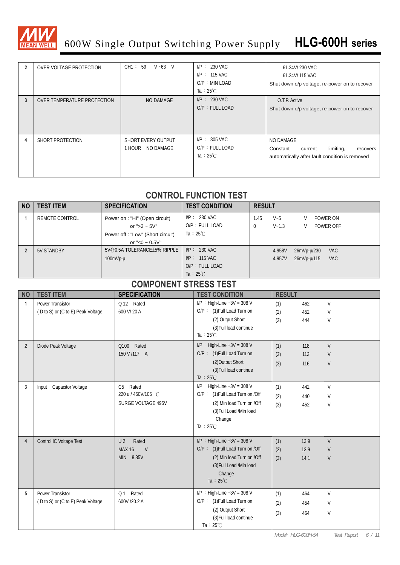

# 600W Single Output Switching Power Supply **HLG-600H series**

| 2 | OVER VOLTAGE PROTECTION     | CH1: 59<br>$V - 63$ V                  | $I/P: 230$ VAC<br>$I/P: 115$ VAC<br>$O/P : MIN$ LOAD<br>Ta : $25^{\circ}$ C | 61.34V/230 VAC<br>61.34V/115 VAC<br>Shut down o/p voltage, re-power on to recover                           |
|---|-----------------------------|----------------------------------------|-----------------------------------------------------------------------------|-------------------------------------------------------------------------------------------------------------|
| 3 | OVER TEMPERATURE PROTECTION | NO DAMAGE                              | $I/P: 230$ VAC<br>O/P: FULL LOAD                                            | O.T.P. Active<br>Shut down o/p voltage, re-power on to recover                                              |
| 4 | SHORT PROTECTION            | SHORT EVERY OUTPUT<br>1 HOUR NO DAMAGE | $I/P: 305$ VAC<br>O/P: FULL LOAD<br>Ta : $25^{\circ}$ C                     | NO DAMAGE<br>limiting,<br>Constant<br>current<br>recovers<br>automatically after fault condition is removed |

#### **CONTROL FUNCTION TEST**

| <b>NO</b> | <b>TEST ITEM</b> | <b>SPECIFICATION</b>                                             | <b>TEST CONDITION</b>                    | <b>RESULT</b>                                                              |
|-----------|------------------|------------------------------------------------------------------|------------------------------------------|----------------------------------------------------------------------------|
|           | REMOTE CONTROL   | Power on : "Hi" (Open circuit)<br>or ">2 ~ $5V"$                 | $I/P: 230$ VAC<br>$O/P$ : FULL LOAD      | POWER ON<br>1.45<br>$V - 5$<br>V<br>$V - 1.3$<br>POWER OFF<br>0<br>V       |
|           |                  | Power off : "Low" (Short circuit)                                | Ta: $25^{\circ}$ C                       |                                                                            |
|           | 5V STANDBY       | or "<0 $\sim$ 0.5V"<br>5V@0.5A TOLERANCE±5% RIPPLE<br>$100mVp-p$ | $I/P: 230$ VAC<br>$I/P: 115$ VAC         | <b>VAC</b><br>4.958V<br>26mVp-p/230<br><b>VAC</b><br>4.957V<br>26mVp-p/115 |
|           |                  |                                                                  | $O/P$ : FULL LOAD<br>Ta : $25^{\circ}$ C |                                                                            |

#### **COMPONENT STRESS TEST**

| <b>NO</b>      | <b>TEST ITEM</b>                  | <b>SPECIFICATION</b>    | <b>TEST CONDITION</b>           | <b>RESULT</b> |      |        |
|----------------|-----------------------------------|-------------------------|---------------------------------|---------------|------|--------|
| 1              | <b>Power Transistor</b>           | Q 12 Rated              | $I/P$ : High-Line +3V = 308 V   | (1)           | 462  | $\vee$ |
|                | (D to S) or (C to E) Peak Voltage | 600 V/20 A              | O/P: (1) Full Load Turn on      | (2)           | 452  | $\vee$ |
|                |                                   |                         | (2) Output Short                | (3)           | 444  | $\vee$ |
|                |                                   |                         | (3) Full load continue          |               |      |        |
|                |                                   |                         | Ta: $25^{\circ}$ C              |               |      |        |
| $\overline{2}$ | Diode Peak Voltage                | Q100 Rated              | $I/P$ : High-Line +3V = 308 V   | (1)           | 118  | $\vee$ |
|                |                                   | 150 V /117 A            | O/P: (1) Full Load Turn on      | (2)           | 112  | $\vee$ |
|                |                                   |                         | (2) Output Short                | (3)           | 116  | $\vee$ |
|                |                                   |                         | (3) Full load continue          |               |      |        |
|                |                                   |                         | Ta : $25^{\circ}$ C             |               |      |        |
| 3              | Input Capacitor Voltage           | Rated<br>C <sub>5</sub> | $I/P$ : High-Line +3V = 308 V   | (1)           | 442  | V      |
|                |                                   | 220 u / 450V/105 °C     | O/P: (1) Full Load Turn on /Off | (2)           | 440  | V      |
|                |                                   | SURGE VOLTAGE 495V      | (2) Min load Turn on /Off       | (3)           | 452  | V      |
|                |                                   |                         | (3) Full Load /Min load         |               |      |        |
|                |                                   |                         | Change                          |               |      |        |
|                |                                   |                         | Ta : $25^{\circ}$ C             |               |      |        |
| $\overline{4}$ | Control IC Voltage Test           | Rated<br>U <sub>2</sub> | $I/P$ : High-Line +3V = 308 V   | (1)           | 13.9 | V      |
|                |                                   | <b>MAX 16</b><br>V      | O/P: (1) Full Load Turn on /Off | (2)           | 13.9 | V      |
|                |                                   | MIN 8.85V               | (2) Min load Turn on /Off       | (3)           | 14.1 | V      |
|                |                                   |                         | (3) Full Load /Min load         |               |      |        |
|                |                                   |                         | Change                          |               |      |        |
|                |                                   |                         | Ta : $25^{\circ}$ C             |               |      |        |
| 5              | <b>Power Transistor</b>           | Rated<br>Q <sub>1</sub> | $I/P$ : High-Line +3V = 308 V   | (1)           | 464  | $\vee$ |
|                | (D to S) or (C to E) Peak Voltage | 600V /20.2 A            | O/P: (1) Full Load Turn on      | (2)           | 454  | $\vee$ |
|                |                                   |                         | (2) Output Short                | (3)           | 464  | $\vee$ |
|                |                                   |                         | (3) Full load continue          |               |      |        |
|                |                                   |                         | Ta: $25^{\circ}$ C              |               |      |        |

*Model: HLG-600H-54 Test Report 6 / 11*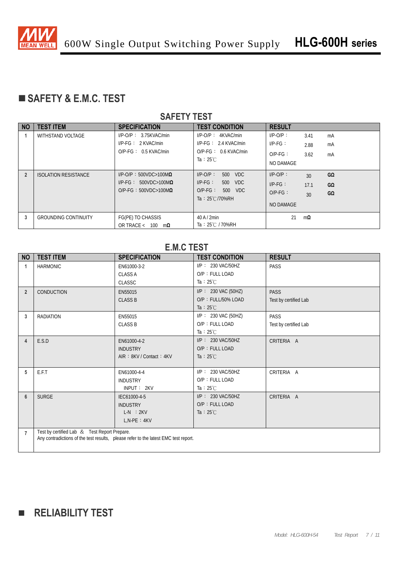

## **SAFETY & E.M.C. TEST**

#### **SAFETY TEST**

| <b>NO</b>      | <b>TEST ITEM</b>            | <b>SPECIFICATION</b>             | <b>TEST CONDITION</b>                         | <b>RESULT</b> |      |    |
|----------------|-----------------------------|----------------------------------|-----------------------------------------------|---------------|------|----|
|                | <b>WITHSTAND VOLTAGE</b>    | $I/P-O/P$ : $3.75KVAC/min$       | $I/P$ -O/P: $4KVAC/min$                       | $I/P-O/P$ :   | 3.41 | mA |
|                |                             | $I/P-FG: 2$ KVAC/min             | $I/P-FG: 2.4$ KVAC/min                        | $IP-FG$ :     | 2.88 | mA |
|                |                             | $O/P-FG: 0.5$ KVAC/min           | $O/P-FG: 0.6$ KVAC/min<br>Ta : $25^{\circ}$ C | $O/P-FG$ :    | 3.62 | mA |
|                |                             |                                  |                                               | NO DAMAGE     |      |    |
| $\overline{2}$ | <b>ISOLATION RESISTANCE</b> | $I/P$ -O/P: 500VDC>100M $\Omega$ | $I/P-O/P$ :<br><b>VDC</b><br>500              | $I/P-O/P$ :   | 30   | GΩ |
|                |                             | $I/P-FG: 500VDC>100M\Omega$      | $I/P-FG$ :<br><b>VDC</b><br>500               | $I/P-FG$ :    | 17.1 | GΩ |
|                |                             | $O/P-FG: 500VDC>100M\Omega$      | $O/P-FG$ :<br>500 VDC                         | $O/P-FG$ :    | 30   | GΩ |
|                |                             |                                  | Ta: $25^{\circ}$ C/70%RH                      | NO DAMAGE     |      |    |
| 3              | <b>GROUNDING CONTINUITY</b> | FG(PE) TO CHASSIS                | 40A/2min                                      | 21            | mΩ   |    |
|                |                             | OR TRACE < $100 \text{ m}\Omega$ | Ta: 25℃ / 70%RH                               |               |      |    |

#### **E.M.C TEST**

| <b>NO</b>      | <b>TEST ITEM</b>                             | <b>SPECIFICATION</b>                                                                | <b>TEST CONDITION</b>  | <b>RESULT</b>         |
|----------------|----------------------------------------------|-------------------------------------------------------------------------------------|------------------------|-----------------------|
| 1              | <b>HARMONIC</b>                              | EN61000-3-2                                                                         | $I/P$ : 230 VAC/50HZ   | PASS                  |
|                |                                              | <b>CLASS A</b>                                                                      | O/P: FULL LOAD         |                       |
|                |                                              | <b>CLASSC</b>                                                                       | Ta : $25^{\circ}$ C    |                       |
| $\overline{2}$ | <b>CONDUCTION</b>                            | EN55015                                                                             | $I/P$ : 230 VAC (50HZ) | <b>PASS</b>           |
|                |                                              | <b>CLASS B</b>                                                                      | $O/P$ : FULL/50% LOAD  | Test by certified Lab |
|                |                                              |                                                                                     | Ta : $25^{\circ}$ C    |                       |
| 3              | <b>RADIATION</b>                             | EN55015                                                                             | $I/P$ : 230 VAC (50HZ) | PASS                  |
|                |                                              | <b>CLASS B</b>                                                                      | O/P: FULL LOAD         | Test by certified Lab |
|                |                                              |                                                                                     | Ta : $25^{\circ}$ C    |                       |
| 4              | E.S.D                                        | EN61000-4-2                                                                         | $I/P$ : 230 VAC/50HZ   | CRITERIA A            |
|                |                                              | <b>INDUSTRY</b>                                                                     | O/P: FULL LOAD         |                       |
|                |                                              | AIR: 8KV / Contact: 4KV                                                             | Ta : $25^{\circ}$ C    |                       |
|                |                                              |                                                                                     |                        |                       |
| 5              | E.F.T                                        | EN61000-4-4                                                                         | I/P: 230 VAC/50HZ      | CRITERIA A            |
|                |                                              | <b>INDUSTRY</b>                                                                     | O/P: FULL LOAD         |                       |
|                |                                              | INPUT: 2KV                                                                          | Ta : $25^{\circ}$ C    |                       |
| 6              | <b>SURGE</b>                                 | IEC61000-4-5                                                                        | I/P: 230 VAC/50HZ      | CRITERIA A            |
|                |                                              | <b>INDUSTRY</b>                                                                     | O/P: FULL LOAD         |                       |
|                |                                              | $L-N$ : $2KV$                                                                       | Ta : $25^{\circ}$ C    |                       |
|                |                                              | $L.N-PE: 4KV$                                                                       |                        |                       |
|                | Test by certified Lab & Test Report Prepare. |                                                                                     |                        |                       |
| $\overline{7}$ |                                              | Any contradictions of the test results, please refer to the latest EMC test report. |                        |                       |
|                |                                              |                                                                                     |                        |                       |

# **RELIABILITY TEST**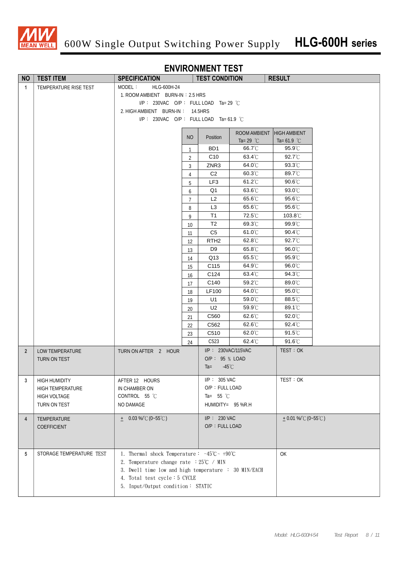

#### **ENVIRONMENT TEST**

| <b>NO</b>      | <b>TEST ITEM</b>         | <b>SPECIFICATION</b>                                                         |                | <b>TEST CONDITION</b>                       |                               | <b>RESULT</b>              |  |
|----------------|--------------------------|------------------------------------------------------------------------------|----------------|---------------------------------------------|-------------------------------|----------------------------|--|
| $\mathbf{1}$   | TEMPERATURE RISE TEST    | MODEL:<br>HLG-600H-24                                                        |                |                                             |                               |                            |  |
|                |                          | 1. ROOM AMBIENT BURN-IN: 2.5 HRS                                             |                |                                             |                               |                            |  |
|                |                          | $I/P$ : 230VAC O/P: FULL LOAD Ta= 29 °C                                      |                |                                             |                               |                            |  |
|                |                          | 2. HIGH AMBIENT BURN-IN: 14.5HRS                                             |                |                                             |                               |                            |  |
|                |                          | I/P: 230VAC O/P: FULL LOAD Ta= 61.9 °C                                       |                |                                             |                               |                            |  |
|                |                          |                                                                              |                |                                             |                               |                            |  |
|                |                          |                                                                              | N <sub>O</sub> | Position                                    | ROOM AMBIENT                  | <b>HIGH AMBIENT</b>        |  |
|                |                          |                                                                              |                | BD1                                         | Ta= 29 $^{\circ}$ C<br>66.7°C | Ta= $61.9$ °C<br>95.9°C    |  |
|                |                          |                                                                              | 1              |                                             | 63.4°C                        | 92.7°C                     |  |
|                |                          |                                                                              | $\overline{2}$ | C <sub>10</sub><br>ZNR3                     | 64.0°C                        | $93.3^{\circ}$ C           |  |
|                |                          |                                                                              | 3              | C <sub>2</sub>                              | $60.3^{\circ}$ C              | 89.7°C                     |  |
|                |                          |                                                                              | $\overline{4}$ | LF3                                         | $61.2^{\circ}$ C              | $90.6^{\circ}$ C           |  |
|                |                          |                                                                              | 5              |                                             | 63.6°C                        | 93.0°C                     |  |
|                |                          |                                                                              | 6              | Q1<br>L2                                    | 65.6°C                        | 95.6°C                     |  |
|                |                          |                                                                              | $\overline{7}$ |                                             |                               |                            |  |
|                |                          |                                                                              | 8              | L <sub>3</sub><br>T1                        | 65.6°C<br>72.5°C              | 95.6°C<br>103.8°C          |  |
|                |                          |                                                                              | 9              |                                             | 69.3°C                        | 99.9°C                     |  |
|                |                          |                                                                              | 10             | T <sub>2</sub>                              |                               |                            |  |
|                |                          |                                                                              | 11             | C <sub>5</sub><br>RTH <sub>2</sub>          | 61.0°C<br>62.8°C              | 90.4°C<br>92.7°C           |  |
|                |                          |                                                                              | 12             |                                             | 65.8°C                        |                            |  |
|                |                          |                                                                              | 13             | D9                                          | 65.5°C                        | $96.0^{\circ}$ C<br>95.9°C |  |
|                |                          |                                                                              | 14             | Q13                                         | 64.9°C                        | 96.0°C                     |  |
|                |                          |                                                                              | 15             | C115<br>C124                                | 63.4°C                        | 94.3°C                     |  |
|                |                          |                                                                              | 16             |                                             | 59.2°C                        | 89.0°C                     |  |
|                |                          |                                                                              | 17             | C140<br>LF100                               | 64.0°C                        | 95.0°C                     |  |
|                |                          |                                                                              | 18             | U1                                          | 59.0°C                        | 88.5°C                     |  |
|                |                          |                                                                              | 19             | U <sub>2</sub>                              | 59.9°C                        | 89.1°C                     |  |
|                |                          |                                                                              | 20             | C560                                        | 62.6°C                        | 92.0°C                     |  |
|                |                          |                                                                              | 21             | C562                                        | 62.6°C                        | $92.4^{\circ}$ C           |  |
|                |                          |                                                                              | 22             | C510                                        | $62.0^{\circ}$ C              | $91.5^{\circ}$ C           |  |
|                |                          |                                                                              | 23             | C <sub>523</sub>                            | $62.4^{\circ}$ C              | $91.6^{\circ}$ C           |  |
|                |                          |                                                                              | 24             |                                             |                               |                            |  |
| $\overline{2}$ | LOW TEMPERATURE          | TURN ON AFTER 2 HOUR                                                         |                | $I/P$ : 230VAC/115VAC                       |                               | TEST: OK                   |  |
|                | <b>TURN ON TEST</b>      |                                                                              |                | O/P: 95 % LOAD<br>$-45^{\circ}$ C<br>$Ta =$ |                               |                            |  |
|                |                          |                                                                              |                |                                             |                               |                            |  |
| 3              | <b>HIGH HUMIDITY</b>     | AFTER 12 HOURS                                                               |                | $I/P$ : 305 VAC                             |                               | TEST: OK                   |  |
|                | HIGH TEMPERATURE         | IN CHAMBER ON                                                                |                | O/P: FULL LOAD                              |                               |                            |  |
|                | HIGH VOLTAGE             | CONTROL 55 °C                                                                |                | Ta= $55^{\circ}$ C                          |                               |                            |  |
|                | TURN ON TEST             | NO DAMAGE                                                                    |                | HUMIDITY= 95 %R.H                           |                               |                            |  |
|                |                          |                                                                              |                |                                             |                               |                            |  |
| $\overline{4}$ | TEMPERATURE              | $\pm$ 0.03 %/°C (0~55°C)                                                     |                | $I/P$ : 230 VAC                             |                               | $+0.01\%$ (0~55°C)         |  |
|                | COEFFICIENT              |                                                                              |                | O/P: FULL LOAD                              |                               |                            |  |
|                |                          |                                                                              |                |                                             |                               |                            |  |
|                |                          |                                                                              |                |                                             |                               |                            |  |
| 5              | STORAGE TEMPERATURE TEST | 1. Thermal shock Temperature: $-45^{\circ}\text{C} \sim +90^{\circ}\text{C}$ |                |                                             |                               | OK                         |  |
|                |                          | 2. Temperature change rate $:25^{\circ}C$ / MIN                              |                |                                             |                               |                            |  |
|                |                          | 3. Dwell time low and high temperature : 30 MIN/EACH                         |                |                                             |                               |                            |  |
|                |                          | 4. Total test cycle: 5 CYCLE                                                 |                |                                             |                               |                            |  |
|                |                          | 5. Input/Output condition: STATIC                                            |                |                                             |                               |                            |  |
|                |                          |                                                                              |                |                                             |                               |                            |  |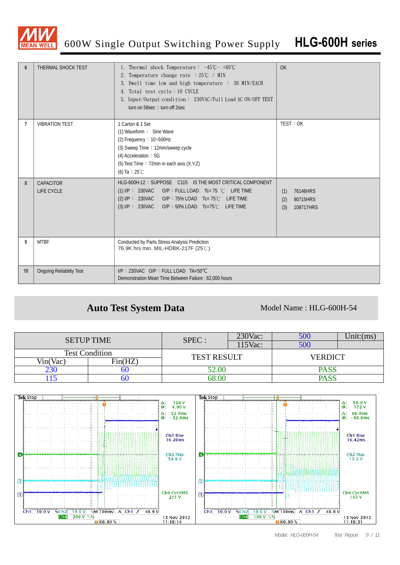

| $6\phantom{1}6$ | THERMAL SHOCK TEST              | 1. Thermal shock Temperature: $-45^{\circ}\text{C} \sim +60^{\circ}\text{C}$<br>2. Temperature change rate $:25^{\circ}\text{C}$ / MIN<br>3. Dwell time low and high temperature : 30 MIN/EACH<br>4. Total test cycle: 10 CYCLE<br>5. Input/Output condition: 230VAC/Full Load AC ON/OFF TEST<br>turn on 58sec ; turn off 2sec | OK                                                     |
|-----------------|---------------------------------|--------------------------------------------------------------------------------------------------------------------------------------------------------------------------------------------------------------------------------------------------------------------------------------------------------------------------------|--------------------------------------------------------|
| 7               | <b>VIBRATION TEST</b>           | 1 Carton & 1 Set<br>(1) Waveform: Sine Wave<br>(2) Frequency: $10-500$ Hz<br>(3) Sweep Time: 12min/sweep cycle<br>(4) Acceleration: 5G<br>(5) Test Time: 72min in each axis (X.Y.Z)<br>(6) Ta : $25^{\circ}$ C                                                                                                                 | TEST: OK                                               |
| 8               | CAPACITOR<br><b>LIFE CYCLE</b>  | HLG-600H-12: SUPPOSE C115 IS THE MOST CRITICAL COMPONENT<br>(1) I/P: 230VAC O/P: FULL LOAD Tc= 75 °C LIFE TIME<br>(2) I/P : 230VAC O/P : 75% LOAD Tc= 75℃ LIFE TIME<br>(3) I/P: 230VAC O/P: 50% LOAD Tc=75°C LIFE TIME                                                                                                         | 76146HRS<br>(1)<br>90715HRS<br>(2)<br>(3)<br>108717HRS |
| 9               | <b>MTBF</b>                     | Conducted by Parts Stress Analysis Prediction<br>76.9K hrs min. MIL-HDBK-217F (25°C)                                                                                                                                                                                                                                           |                                                        |
| 10              | <b>Ongoing Reliability Test</b> | $I/P$ : 230VAC O/P : FULL LOAD TA=50°C<br>Demonstration Mean Time Between Failure: 62,000 hours                                                                                                                                                                                                                                |                                                        |

#### Auto Test System Data Model Name : HLG-600H-54

| <b>SETUP TIME</b>     |         | SPEC:              | $230$ Vac: | 500            | $Unit:$ (ms) |
|-----------------------|---------|--------------------|------------|----------------|--------------|
|                       |         |                    | 115Vac:    | 500            |              |
| <b>Test Condition</b> |         | <b>TEST RESULT</b> |            | <b>VERDICT</b> |              |
| Vin(Vac)              | Fin(HZ) |                    |            |                |              |
| 230                   | OU      | 52.00              |            | <b>PASS</b>    |              |
|                       | ou      | 58.00              |            | PASS           |              |

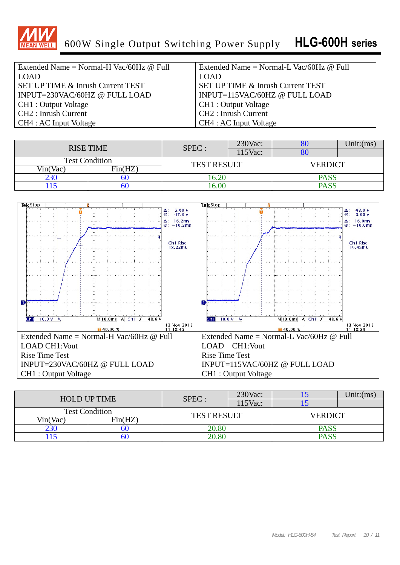

| Extended Name = Normal-H Vac/60Hz $@$ Full   | Extended Name = Normal-L Vac/60Hz $@$ Full   |
|----------------------------------------------|----------------------------------------------|
| LOAD                                         | <b>LOAD</b>                                  |
| <b>SET UP TIME &amp; Inrush Current TEST</b> | <b>SET UP TIME &amp; Inrush Current TEST</b> |
| INPUT=230VAC/60HZ @ FULL LOAD                | INPUT=115VAC/60HZ @ FULL LOAD                |
| CH1 : Output Voltage                         | CH1 : Output Voltage                         |
| CH2: Inrush Current                          | CH <sub>2</sub> : Inrush Current             |
| CH4 : AC Input Voltage                       | CH4 : AC Input Voltage                       |

|                       |         | SPEC :             | 230Vac: | ου             | ∪nıt:(ms |  |
|-----------------------|---------|--------------------|---------|----------------|----------|--|
| <b>RISE TIME</b>      |         |                    | 115Vac: | ou             |          |  |
| <b>Test Condition</b> |         | <b>TEST RESULT</b> |         | <b>VERDICT</b> |          |  |
| Vin(Vac)              | Fin(HZ) |                    |         |                |          |  |
| 230                   | UU      | 6.20               |         | <b>PASS</b>    |          |  |
|                       | υu      | 6.00               |         | <b>PASS</b>    |          |  |



| <b>HOLD UP TIME</b>   |         | SPEC:              | $230$ Vac: |                | Unit:(ms) |  |
|-----------------------|---------|--------------------|------------|----------------|-----------|--|
|                       |         |                    | 115Vac:    |                |           |  |
| <b>Test Condition</b> |         | <b>TEST RESULT</b> |            | <b>VERDICT</b> |           |  |
| Vin(Vac)              | Fin(HZ) |                    |            |                |           |  |
| 230                   |         | 20.80              |            | <b>PASS</b>    |           |  |
|                       | DU      | 20.80              |            | <b>PASS</b>    |           |  |